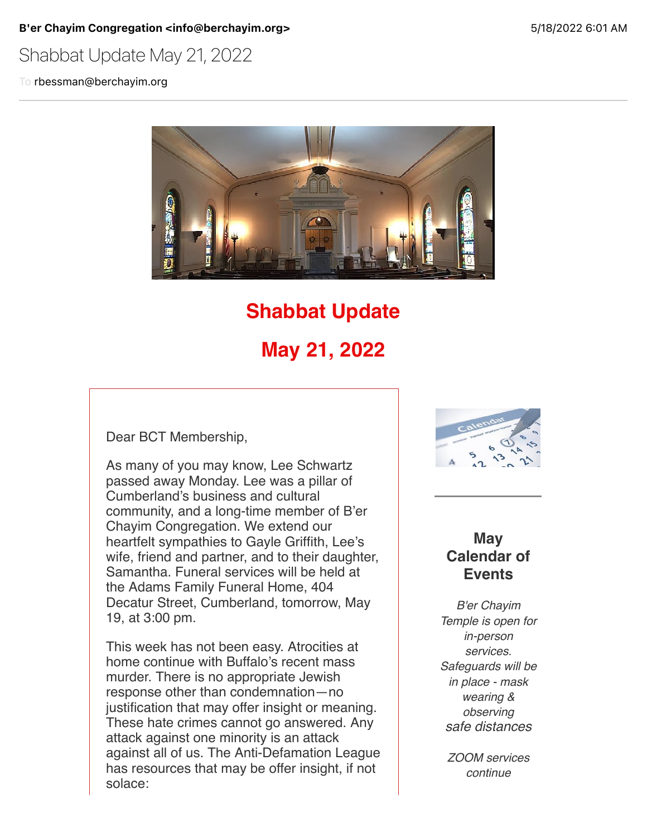B'er Chayim Congregation <info@berchayim.org> 5/18/2022 6:01 AM

Shabbat Update May 21, 2022

To rbessman@berchayim.org



# **Shabbat Update**

# **May 21, 2022**

Dear BCT Membership,

As many of you may know, Lee Schwartz passed away Monday. Lee was a pillar of Cumberland's business and cultural community, and a long-time member of B'er Chayim Congregation. We extend our heartfelt sympathies to Gayle Griffith, Lee's wife, friend and partner, and to their daughter, Samantha. Funeral services will be held at the Adams Family Funeral Home, 404 Decatur Street, Cumberland, tomorrow, May 19, at 3:00 pm.

This week has not been easy. Atrocities at home continue with Buffalo's recent mass murder. There is no appropriate Jewish response other than condemnation—no justification that may offer insight or meaning. These hate crimes cannot go answered. Any attack against one minority is an attack against all of us. The Anti-Defamation League has resources that may be offer insight, if not solace:



## **May Calendar of Events**

*B'er Chayim Temple is open for in-person services. Safeguards will be in place - mask wearing & observing safe distances*

*ZOOM services continue*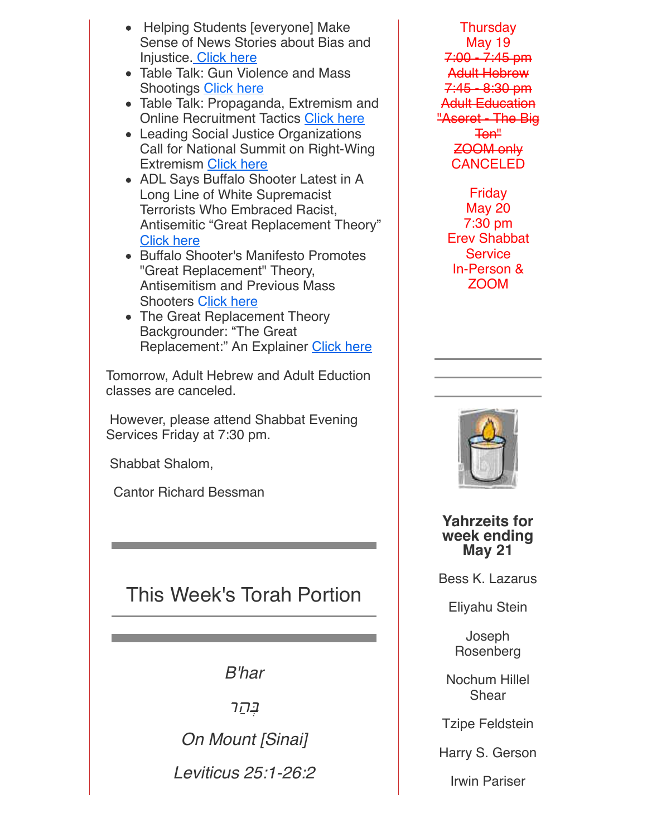- Helping Students [everyone] Make Sense of News Stories about Bias and Injustice. [Click here](https://click.icptrack.com/icp/relay.php?r=119985007&msgid=902172&act=4970&c=592337&pid=8618982&destination=https%3A%2F%2Fwww.adl.org%2Feducation%2Fresources%2Ftools-and-strategies%2Fhelping-students-make-sense-of-news-stories-about-bias-and&cf=5618&v=eb73e11aa64b334b5f100937fc744876f268dbeaf85ae31d890d8fe5e609bf16)
- Table Talk: Gun Violence and Mass Shootings [Click here](https://click.icptrack.com/icp/relay.php?r=119985007&msgid=902172&act=4970&c=592337&pid=8618982&destination=https%3A%2F%2Fwww.adl.org%2Feducation%2Fresources%2Ftools-and-strategies%2Ftable-talk%2Fgun-violence-mass-shootings&cf=5618&v=fce5f42e5ea9d8a1b82ae3dff25a618f14f290372281c0e998c9204cd20ba349)
- Table Talk: Propaganda, Extremism and Online Recruitment Tactics [Click here](https://click.icptrack.com/icp/relay.php?r=119985007&msgid=902172&act=4970&c=592337&pid=8618982&destination=https%3A%2F%2Fwww.adl.org%2Feducation%2Fresources%2Ftools-and-strategies%2Ftable-talk%2Fpropaganda-extremism-online-recruitment&cf=5618&v=687f4a232d1462ab4a5763a03969271edea3047de480aa5843e47d812c1c9dec)
- Leading Social Justice Organizations Call for National Summit on Right-Wing Extremism [Click here](https://click.icptrack.com/icp/relay.php?r=119985007&msgid=902172&act=4970&c=592337&pid=8618982&destination=https%3A%2F%2Fwww.adl.org%2Fnews%2Fpress-releases%2Fleading-social-justice-organizations-call-for-national-summit-on-right-wing&cf=5618&v=b294c8b68c6b8e0c1bdc1dfa0ce6e2c970d0593cf688fd3d9bae9a2f6aa6d652)
- ADL Says Buffalo Shooter Latest in A Long Line of White Supremacist Terrorists Who Embraced Racist, Antisemitic "Great Replacement Theory" [Click here](https://click.icptrack.com/icp/relay.php?r=119985007&msgid=902172&act=4970&c=592337&pid=8618982&destination=https%3A%2F%2Fwww.adl.org%2Fnews%2Fpress-releases%2Fadl-says-buffalo-shooter-latest-in-a-long-line-of-white-supremacist-terrorists&cf=5618&v=6edc80e3275eb8f5b9f0923107bfc3eeeec42e7c76fbf39569927b1359610514)
- Buffalo Shooter's Manifesto Promotes "Great Replacement" Theory, Antisemitism and Previous Mass Shooters [Click here](https://click.icptrack.com/icp/relay.php?r=119985007&msgid=902172&act=4970&c=592337&pid=8618982&destination=https%3A%2F%2Fwww.adl.org%2Fblog%2Fbuffalo-shooters-manifesto-promotes-great-replacement-theory-antisemitism-and-previous-mass&cf=5618&v=7b3378ecf0c3672e412747e881a6b754d1dc126df7bc76727b1a2720eb87a40d)
- The Great Replacement Theory Backgrounder: "The Great Replacement:" An Explainer [Click here](https://click.icptrack.com/icp/relay.php?r=119985007&msgid=902172&act=4970&c=592337&pid=8618982&destination=https%3A%2F%2Fwww.adl.org%2Fresources%2Fbackgrounders%2Fthe-great-replacement-an-explainer&cf=5618&v=1d48504a3bb64a32076b605dc25d75b2a1348ba097cffda9e02b82eb1b90b07a)

Tomorrow, Adult Hebrew and Adult Eduction classes are canceled.

 However, please attend Shabbat Evening Services Friday at 7:30 pm.

Shabbat Shalom,

Cantor Richard Bessman

# This Week's Torah Portion

*B'har*

ַבְּהַר

*On Mount [Sinai]*

*Leviticus 25:1-26:2*

**Thursday** May 19 7:00 - 7:45 pm Adult Hebrew 7:45 - 8:30 pm Adult Education "Aseret - The Big Ten" ZOOM only CANCELED

> **Friday** May 20 7:30 pm Erev Shabbat **Service** In-Person & ZOOM



**Yahrzeits for week ending May 21**

Bess K. Lazarus

Eliyahu Stein

Joseph Rosenberg

Nochum Hillel Shear

Tzipe Feldstein

Harry S. Gerson

Irwin Pariser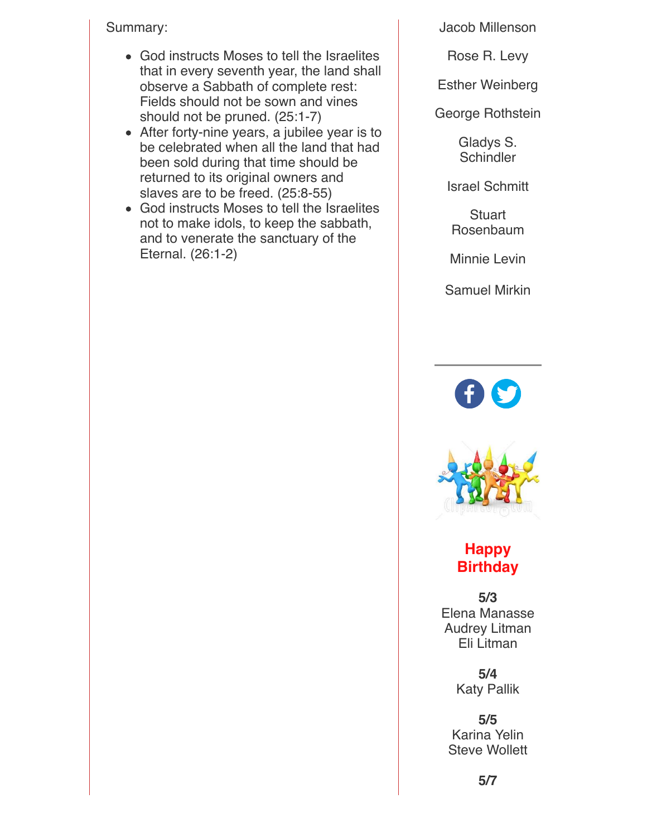Summary:

- God instructs Moses to tell the Israelites that in every seventh year, the land shall observe a Sabbath of complete rest: Fields should not be sown and vines should not be pruned. (25:1-7)
- After forty-nine years, a jubilee year is to be celebrated when all the land that had been sold during that time should be returned to its original owners and slaves are to be freed. (25:8-55)
- God instructs Moses to tell the Israelites not to make idols, to keep the sabbath, and to venerate the sanctuary of the Eternal. (26:1-2)

Jacob Millenson

Rose R. Levy

Esther Weinberg

George Rothstein

Gladys S. **Schindler** 

Israel Schmitt

**Stuart** Rosenbaum

Minnie Levin

Samuel Mirkin





# **Happy Birthday**

**5/3** Elena Manasse Audrey Litman Eli Litman

> **5/4** Katy Pallik

**5/5** Karina Yelin Steve Wollett

**5/7**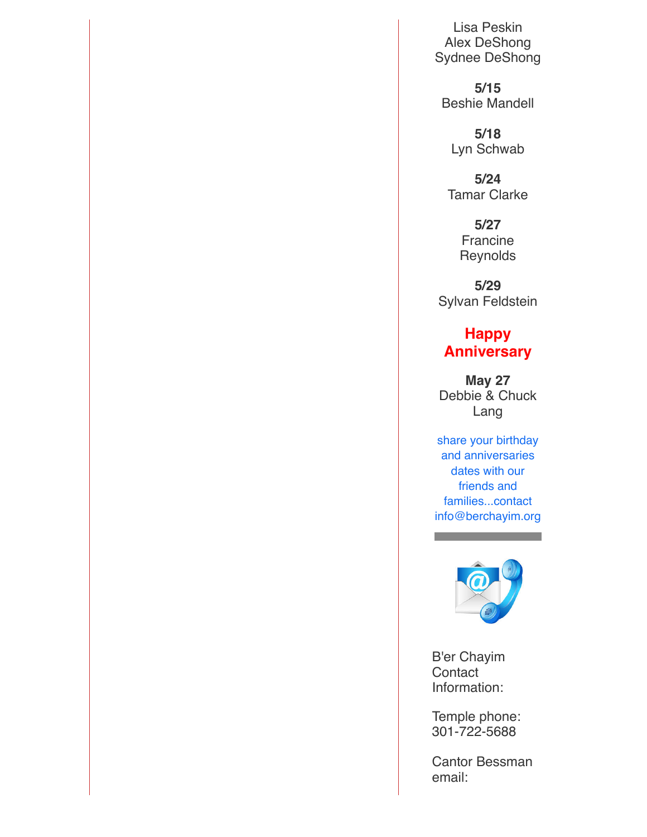Lisa Peskin Alex DeShong Sydnee DeShong

**5/15** Beshie Mandell

**5/18** Lyn Schwab

**5/24** Tamar Clarke

> **5/27** Francine **Reynolds**

**5/29** Sylvan Feldstein

## **Happy Anniversary**

**May 27** Debbie & Chuck Lang

share your birthday and anniversaries dates with our friends and families...contact info@berchayim.org



a sa kacamatan ing Kabupatèn Band

B'er Chayim **Contact** Information:

Temple phone: 301-722-5688

Cantor Bessman email: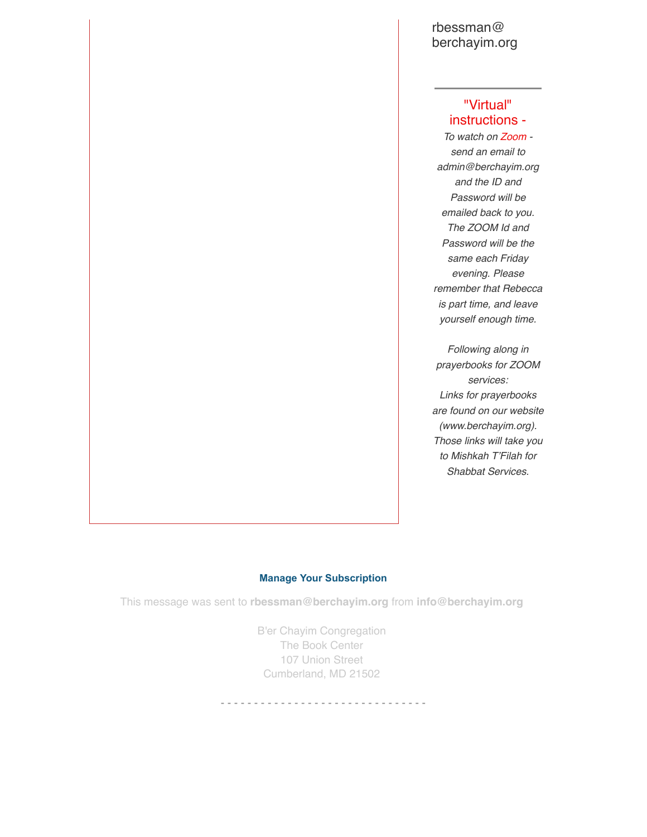### rbessman@ berchayim.org

## "Virtual" instructions -

*To watch on Zoom send an email to admin@berchayim.org and the ID and Password will be emailed back to you. The ZOOM Id and Password will be the same each Friday evening. Please remember that Rebecca is part time, and leave yourself enough time.*

*Following along in prayerbooks for ZOOM services: Links for prayerbooks are found on our website (www.berchayim.org). Those links will take you to Mishkah T'Filah for Shabbat Services.*

#### **[Manage Your Subscription](https://app.icontact.com/icp/mmail-mprofile.php?r=119985007&l=5618&s=4970&m=902172&c=592337)**

This message was sent to **rbessman@berchayim.org** from **info@berchayim.org**

B'er Chayim Congregation The Book Center 107 Union Street Cumberland, MD 21502

- - - - - - - - - - - - - - - - - - - - - - - - - - - - - - -